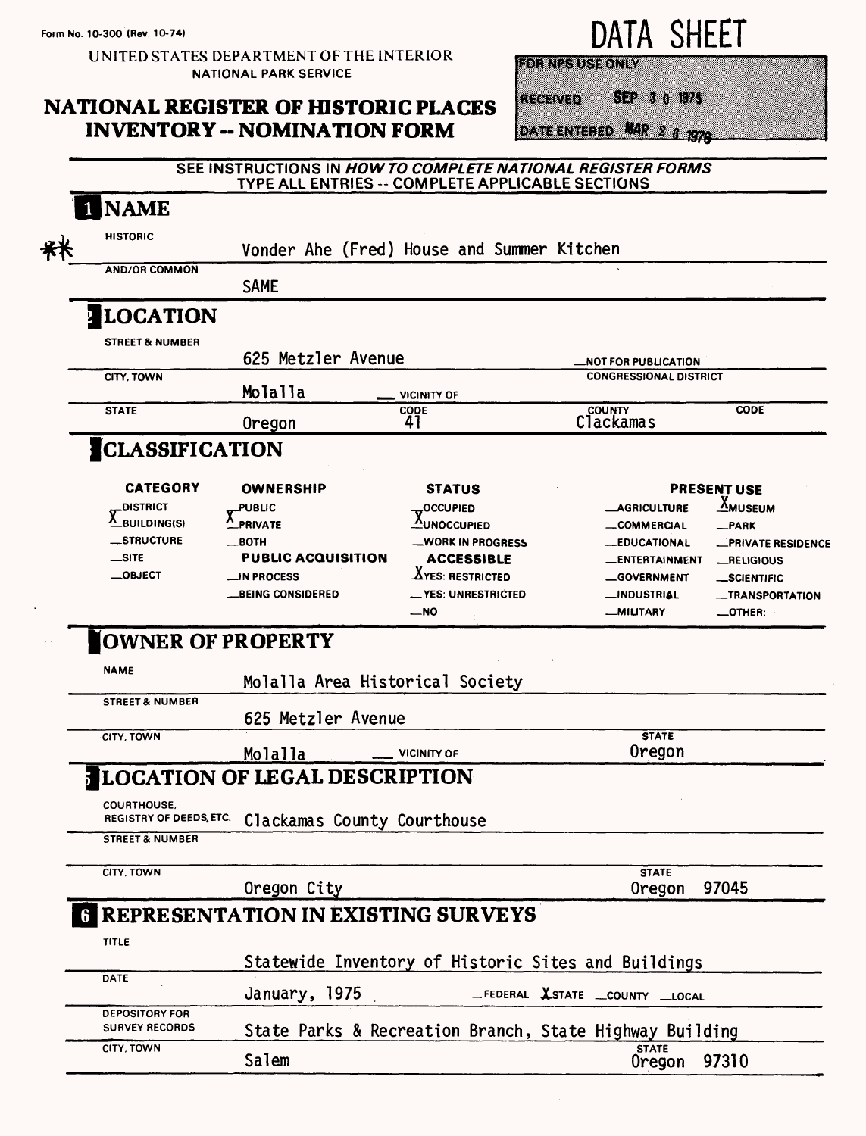UNITED STATES DEPARTMENT OF THE INTERIOR NATIONAL PARK SERVICE

## **NATIONAL REGISTER OF HISTORIC PLACES INVENTORY -- NOMINATION FORM**

DATA SHEET

SEP 3 0 1975

**FORMES USE ONLY** 

RECENTO

DATE ENTERED MAR 2 8 1976

## **SEE INSTRUCTIONS IN HOW TO COMPLETE NATIONAL REGISTER FORMS TYPE ALL ENTRIES -- COMPLETE APPLICABLE SECTIONS**

| <b>NAME</b>                                                         |                                                                                                                  |                                                                                                                         |                                                                                                                               |                                                                                                             |
|---------------------------------------------------------------------|------------------------------------------------------------------------------------------------------------------|-------------------------------------------------------------------------------------------------------------------------|-------------------------------------------------------------------------------------------------------------------------------|-------------------------------------------------------------------------------------------------------------|
| <b>HISTORIC</b>                                                     | Vonder Ahe (Fred) House and Summer Kitchen                                                                       |                                                                                                                         |                                                                                                                               |                                                                                                             |
| <b>AND/OR COMMON</b>                                                | <b>SAME</b>                                                                                                      |                                                                                                                         |                                                                                                                               |                                                                                                             |
| <b>ILOCATION</b>                                                    |                                                                                                                  |                                                                                                                         |                                                                                                                               |                                                                                                             |
| <b>STREET &amp; NUMBER</b>                                          | 625 Metzler Avenue                                                                                               |                                                                                                                         | _NOT FOR PUBLICATION                                                                                                          |                                                                                                             |
| CITY, TOWN                                                          | Molalla                                                                                                          | <b>VICINITY OF</b>                                                                                                      | <b>CONGRESSIONAL DISTRICT</b>                                                                                                 |                                                                                                             |
| <b>STATE</b>                                                        | Oregon                                                                                                           | <b>CODE</b><br>41                                                                                                       | <b>COUNTY</b><br><b>Clackamas</b>                                                                                             | <b>CODE</b>                                                                                                 |
| <b>CLASSIFICATION</b>                                               |                                                                                                                  |                                                                                                                         |                                                                                                                               |                                                                                                             |
| <b>CATEGORY</b><br><b>_DISTRICT</b>                                 | <b>OWNERSHIP</b><br><b>PUBLIC</b>                                                                                | <b>STATUS</b><br>OCCUPIED,                                                                                              | <b>_AGRICULTURE</b>                                                                                                           | <b>PRESENT USE</b><br><u>X</u> museum                                                                       |
| $\overline{V}$ BUILDING(S)<br>__STRUCTURE<br>$$ site<br>$\_$ OBJECT | <b>PRIVATE</b><br>$\equiv$ BOTH<br><b>PUBLIC ACQUISITION</b><br><b>__IN PROCESS</b><br><b>__BEING CONSIDERED</b> | <b>AUNOCCUPIED</b><br>WORK IN PROGRESS<br><b>ACCESSIBLE</b><br>$\Delta$ yes: Restricted<br>_YES: UNRESTRICTED<br>$-$ NO | <b>__COMMERCIAL</b><br><b>__EDUCATIONAL</b><br><b>ENTERTAINMENT</b><br><b>__GOVERNMENT</b><br>__INDUSTRIAL<br><b>MILITARY</b> | -PARK<br><b>PRIVATE RESIDENCE</b><br><b>_RELIGIOUS</b><br>_SCIENTIFIC<br>_TRANSPORTATION<br>$\_$ OTHER $\_$ |
| OWNER OF PROPERTY                                                   |                                                                                                                  |                                                                                                                         |                                                                                                                               |                                                                                                             |
| <b>NAME</b>                                                         | Molalla Area Historical Society                                                                                  |                                                                                                                         |                                                                                                                               |                                                                                                             |
| <b>STREET &amp; NUMBER</b>                                          | 625 Metzler Avenue                                                                                               |                                                                                                                         |                                                                                                                               |                                                                                                             |
| CITY, TOWN                                                          | Molalla                                                                                                          | <b>VICINITY OF</b>                                                                                                      | <b>STATE</b><br>Oregon                                                                                                        |                                                                                                             |
|                                                                     | <b>LOCATION OF LEGAL DESCRIPTION</b>                                                                             |                                                                                                                         |                                                                                                                               |                                                                                                             |
| <b>COURTHOUSE.</b><br>REGISTRY OF DEEDS, ETC.                       | Clackamas County Courthouse                                                                                      |                                                                                                                         |                                                                                                                               |                                                                                                             |
| <b>STREET &amp; NUMBER</b>                                          |                                                                                                                  |                                                                                                                         |                                                                                                                               |                                                                                                             |
| CITY, TOWN                                                          | Oregon City                                                                                                      |                                                                                                                         | <b>STATE</b><br>Oregon                                                                                                        | 97045                                                                                                       |
|                                                                     | <b>6 REPRESENTATION IN EXISTING SURVEYS</b>                                                                      |                                                                                                                         |                                                                                                                               |                                                                                                             |
| <b>TITLE</b>                                                        |                                                                                                                  |                                                                                                                         | Statewide Inventory of Historic Sites and Buildings                                                                           |                                                                                                             |
| DATE                                                                | January, 1975                                                                                                    |                                                                                                                         | _FEDERAL XSTATE _COUNTY _LOCAL                                                                                                |                                                                                                             |
| <b>DEPOSITORY FOR</b><br><b>SURVEY RECORDS</b>                      |                                                                                                                  |                                                                                                                         | State Parks & Recreation Branch, State Highway Building                                                                       |                                                                                                             |
| CITY, TOWN                                                          | Salem                                                                                                            |                                                                                                                         | <b>STATE</b><br>Oregon                                                                                                        | 97310                                                                                                       |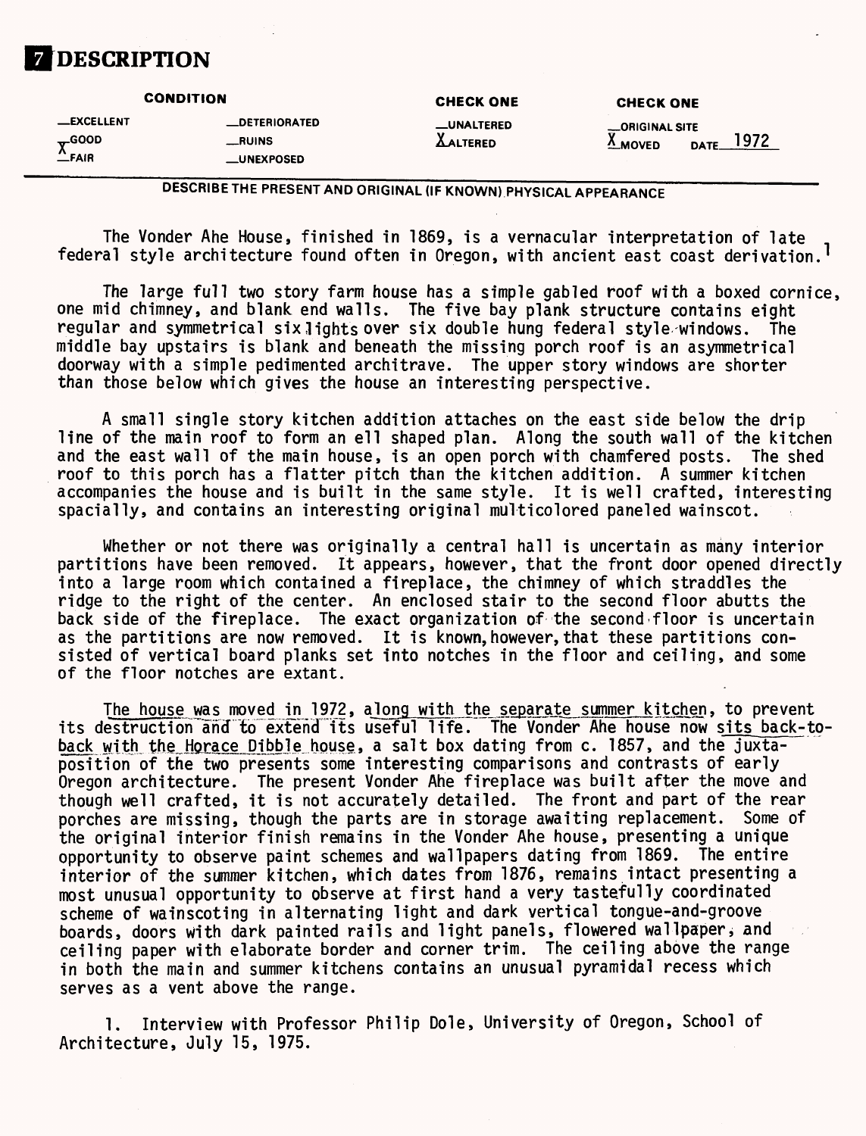

**CONDITION CHECK ONE CHECK ONE CHECK ONE -EXCELLENT** -DETERIORATED -UNALTERED -ORIGINAL SITE<br>
The COOD -RUINS -RUINS<br>
-PAIR -UNEXPOSED - ALTERED X MOVED D **EXECUTED 4 EXECUTED EXECUTED EXECUTED EXECUTED EXECUTED EXECUTED EXECUTED EXECUTED EXECUTED EXECUTED —FAIR \_UNEXPOSED**

**DESCRIBE THE PRESENT AND ORIGINAL (IF KNOWN) PHYSICAL APPEARANCE**

The Yonder Ahe House, finished in 1869, is a vernacular interpretation of late federal style architecture found often in Oregon, with ancient east coast derivation.<sup>1</sup>

The large full two story farm house has a simple gabled roof with a boxed cornice, one mid chimney, and blank end walls. The five bay plank structure contains eight regular and symmetrical six lights over six double hung federal style windows. The middle bay upstairs is blank and beneath the missing porch roof is an asymmetrical doorway with a simple pedimented architrave. The upper story windows are shorter than those below which gives the house an interesting perspective.

A small single story kitchen addition attaches on the east side below the drip line of the main roof to form an ell shaped plan. Along the south wall of the kitchen and the east wall of the main house, is an open porch with chamfered posts. The shed roof to this porch has a flatter pitch than the kitchen addition. A summer kitchen accompanies the house and is built in the same style. It is well crafted, interesting spacially, and contains an interesting original multicolored paneled wainscot.

Whether or not there was originally a central hall is uncertain as many interior partitions have been removed. It appears, however, that the front door opened directly into a large room which contained a fireplace, the chimney of which straddles the ridge to the right of the center. An enclosed stair to the second floor abutts the back side of the fireplace. The exact organization of the second-floor is uncertain as the partitions are now removed. It is known, however, that these partitions consisted of vertical board planks set into notches in the floor and ceiling, and some of the floor notches are extant.

The house was moved in 1972, along with the separate summer kitchen, to prevent its destruction and to extend its useful life. The Vonder Ahe house now sits back-toback with the Horace Dibble house, a salt box dating from c. 1857, and the juxtaposition of the two presents some interesting comparisons and contrasts of early Oregon architecture. The present Yonder Ahe fireplace was built after the move and though well crafted, it is not accurately detailed. The front and part of the rear porches are missing, though the parts are in storage awaiting replacement. Some of the original interior finish remains in the Vonder Ahe house, presenting a unique<br>opportunity to observe paint schemes and wallpapers dating from 1869. The entire opportunity to observe paint schemes and wallpapers dating from 1869. interior of the summer kitchen, which dates from 1876, remains intact presenting a most unusual opportunity to observe at first hand a very tastefully coordinated scheme of wainscoting in alternating light and dark vertical tongue-and-groove boards, doors with dark painted rails and light panels, flowered wallpaperj and ceiling paper with elaborate border and corner trim. The ceiling above the range in both the main and summer kitchens contains an unusual pyramidal recess which serves as a vent above the range.

1. Interview with Professor Philip Dole, University of Oregon, School of Architecture, July 15, 1975.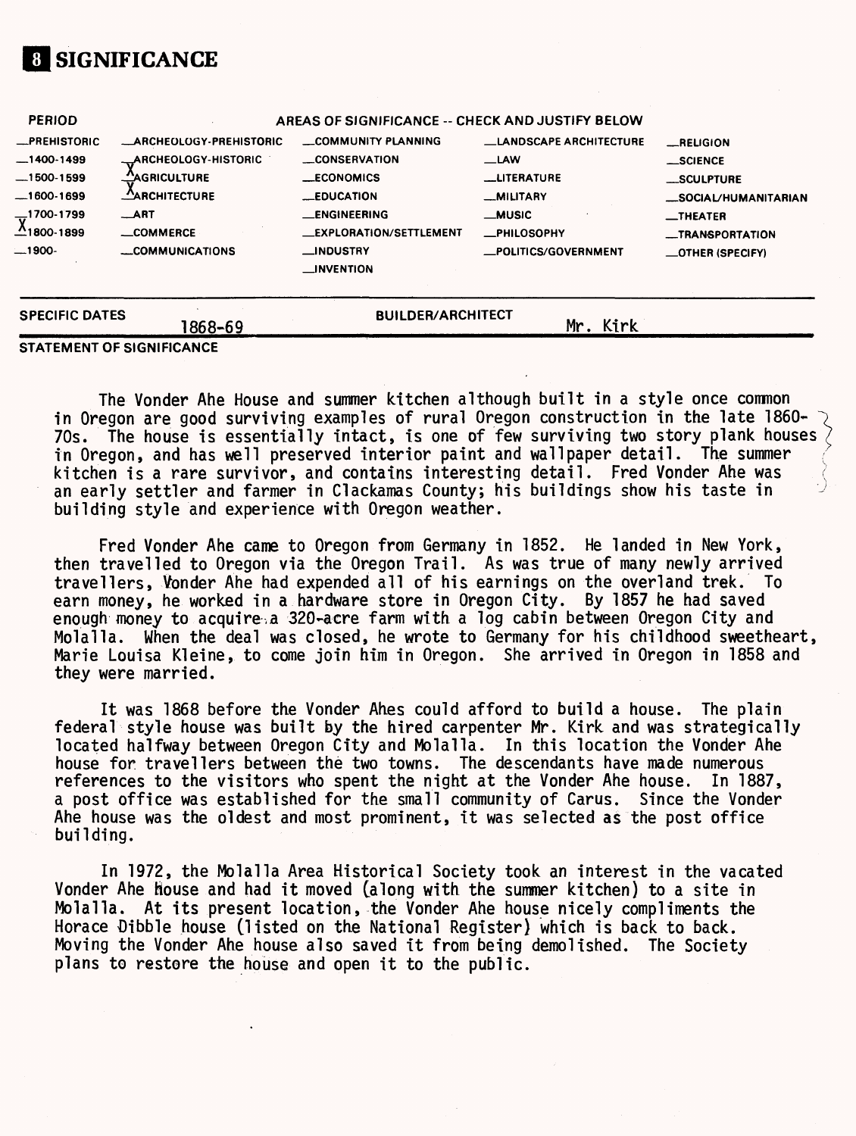## **01 SIGNIFICANCE**

| <b>SPECIFIC DATES</b>                                          | 1868–69                                                                                                | <b>BUILDER/ARCHITECT</b>                                                                          | Mr. Kirk                                                                            |                                                                               |
|----------------------------------------------------------------|--------------------------------------------------------------------------------------------------------|---------------------------------------------------------------------------------------------------|-------------------------------------------------------------------------------------|-------------------------------------------------------------------------------|
| $\frac{1700-1799}{1800-1899}$<br>$-1900-$                      | $\_$ ART<br>_COMMERCE<br>COMMUNICATIONS                                                                | <b>__ENGINEERING</b><br><b>LEXPLORATION/SETTLEMENT</b><br><b>__INDUSTRY</b><br><b>__INVENTION</b> | <b>__MUSIC</b><br><b>_PHILOSOPHY</b><br>-POLITICS/GOVERNMENT                        | $\blacksquare$ THEATER<br><b>__TRANSPORTATION</b><br>$\equiv$ OTHER (SPECIFY) |
| -PREHISTORIC<br>$-1400-1499$<br>$-1500 - 1599$<br>$-1600-1699$ | <b>ARCHEOLOGY-PREHISTORIC</b><br>_ARCHEOLOGY-HISTORIC<br><u>___</u> AGRICULTURE<br><b>ARCHITECTURE</b> | COMMUNITY PLANNING<br><b>CONSERVATION</b><br>$\_ECONOMICS$<br><b>LEDUCATION</b>                   | <b>LANDSCAPE ARCHITECTURE</b><br><b>LAW</b><br><b>LITERATURE</b><br><b>MILITARY</b> | RELIGION<br>$\_$ SCIENCE<br>__SCULPTURE<br><b>SOCIAL/HUMANITARIAN</b>         |
| <b>PERIOD</b>                                                  |                                                                                                        | AREAS OF SIGNIFICANCE -- CHECK AND JUSTIFY BELOW                                                  |                                                                                     |                                                                               |

**STATEMENT OF SIGNIFICANCE**

The Vender Ahe House and summer kitchen although built in a style once common in Oregon are good surviving examples of rural Oregon construction in the late 1860- 70s. The house is essentially intact, is one of few surviving two story plank houses in Oregon, and has well preserved interior paint and wallpaper detail. The summer kitchen is a rare survivor, and contains interesting detail. Fred Vonder Ahe was an early settler and farmer in Clackamas County; his buildings show his taste in building style and experience with Oregon weather.

Fred Vonder Ahe came to Oregon from Germany in 1852. He landed in New York, then travelled to Oregon via the Oregon Trail. As was true of many newly arrived travellers, Vonder Ahe had expended all of his earnings on the overland trek. To earn money, he worked in a hardware store in Oregon City. By 1857 he had saved enough money to acquire,a 320-acre farm with a log cabin between Oregon City and Molalla. When the deal was closed, he wrote to Germany for his childhood sweetheart, Marie Louisa Kleine, to come join him in Oregon. She arrived in Oregon in 1858 and they were married.

It was 1868 before the Vonder Ahes could afford to build a house. The plain federal style house was built by the hired carpenter Mr. Kirk and was strategically located halfway between Oregon City and Molalla. In this location the Vonder Ahe house for travellers between the two towns. The descendants have made numerous references to the visitors who spent the night at the Vonder Ahe house. In 1887, a post office was established for the small community of Carus. Since the Vonder Ahe house was the oldest and most prominent, it was selected as the post office building.

In 1972, the Molalla Area Historical Society took an interest in the vacated Vonder Ahe house and had it moved (along with the summer kitchen) to a site in Molalla. At its present location, the Vonder Ahe house nicely compliments the Horace Dibble house (listed on the National Register) which is back to back. Moving the Vonder Ahe house also saved it from being demolished. The Society plans to restore the house and open it to the public.